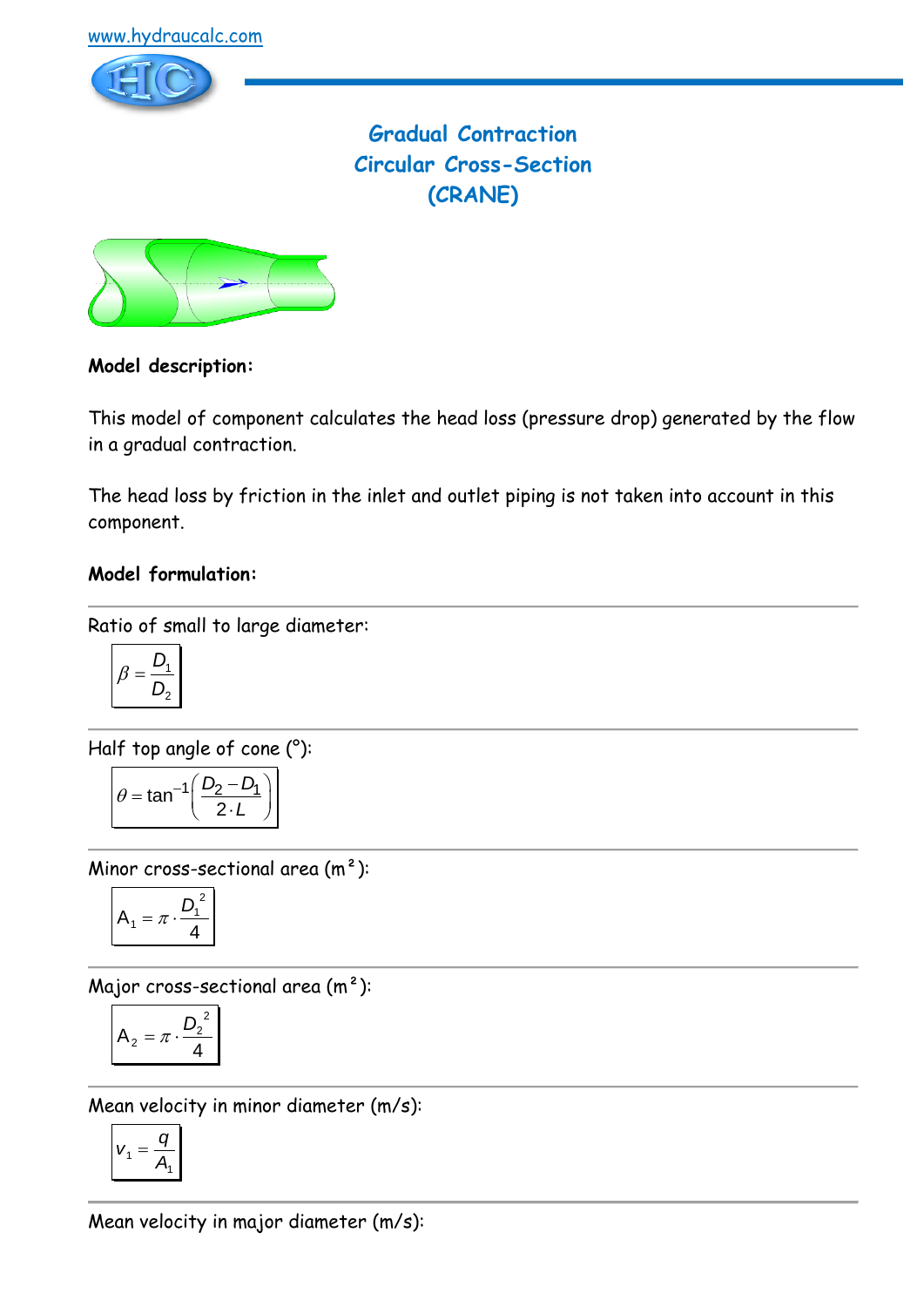

**Gradual Contraction Circular Cross-Section (CRANE)**



### **Model description:**

This model of component calculates the head loss (pressure drop) generated by the flow in a gradual contraction.

The head loss by friction in the inlet and outlet piping is not taken into account in this component.

#### **Model formulation:**

Ratio of small to large diameter:

$$
\beta = \frac{D_1}{D_2}
$$

Half top angle of cone (°):

$$
\theta = \tan^{-1}\left(\frac{D_2 - D_1}{2 \cdot L}\right)
$$

Minor cross-sectional area (m²):

$$
A_1 = \pi \cdot \frac{D_1^2}{4}
$$

Major cross-sectional area (m²):

$$
A_2 = \pi \cdot \frac{D_2^2}{4}
$$

Mean velocity in minor diameter (m/s):

$$
v_1 = \frac{q}{A_1}
$$

Mean velocity in major diameter (m/s):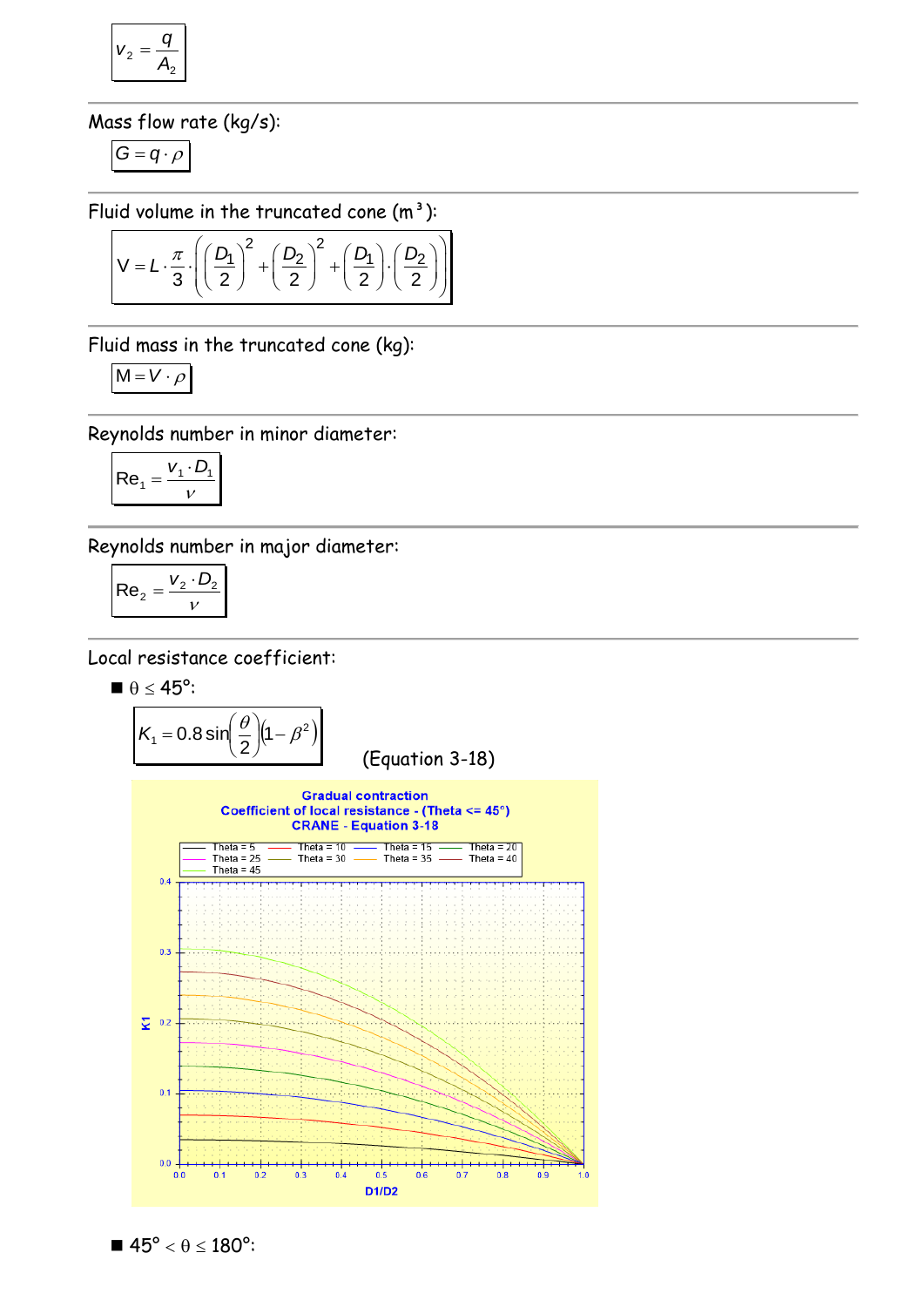$$
v_2 = \frac{q}{A_2}
$$

Mass flow rate (kg/s):

$$
G=q\cdot \rho
$$

$$
\text{Fluid volume in the truncated cone (m3):}
$$
\n
$$
V = L \cdot \frac{\pi}{3} \cdot \left( \left( \frac{D_1}{2} \right)^2 + \left( \frac{D_2}{2} \right)^2 + \left( \frac{D_1}{2} \right) \cdot \left( \frac{D_2}{2} \right) \right)
$$

Fluid mass in the truncated cone (kg):

$$
M = V \cdot \rho
$$

Reynolds number in minor diameter:

$$
\left| \text{Re}_1 = \frac{V_1 \cdot D_1}{V} \right|
$$

Reynolds number in major diameter:

$$
\left| \text{Re}_2 = \frac{v_2 \cdot D_2}{v} \right|
$$

Local resistance coefficient:

$$
\blacksquare~\theta \leq 45^o \mathpunct:
$$

$$
K_1 = 0.8 \sin\left(\frac{\theta}{2}\right) (1 - \beta^2)
$$
 (Equation 3-18)



$$
\blacksquare\,\,45^{\text{o}}<\theta\leq 180^{\text{o}}\mathbf{:}
$$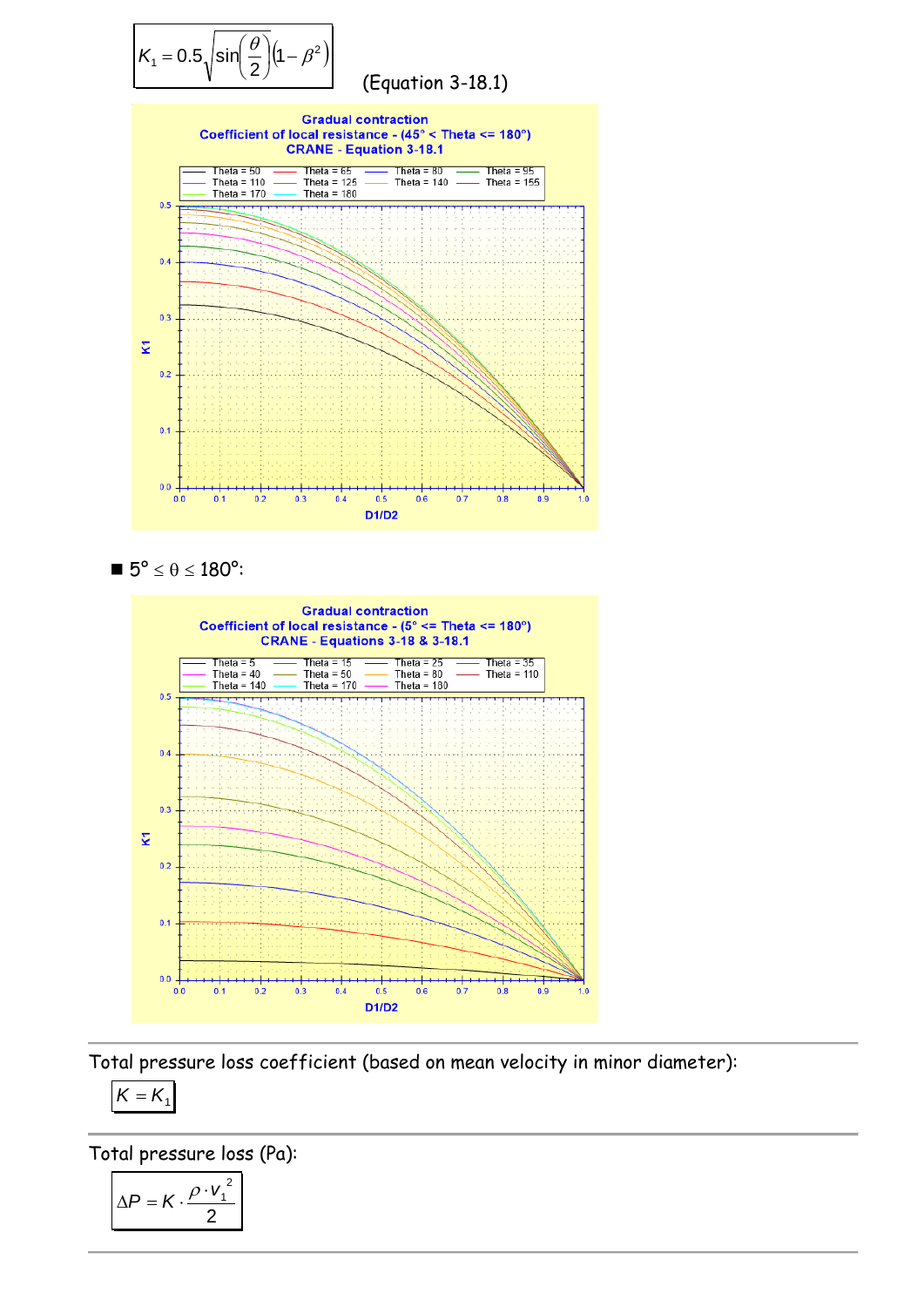





Total pressure loss coefficient (based on mean velocity in minor diameter):

$$
\boldsymbol{K}=\boldsymbol{K}_{1}
$$

Total pressure loss (Pa):

$$
\Delta P = K \cdot \frac{\rho \cdot v_1^2}{2}
$$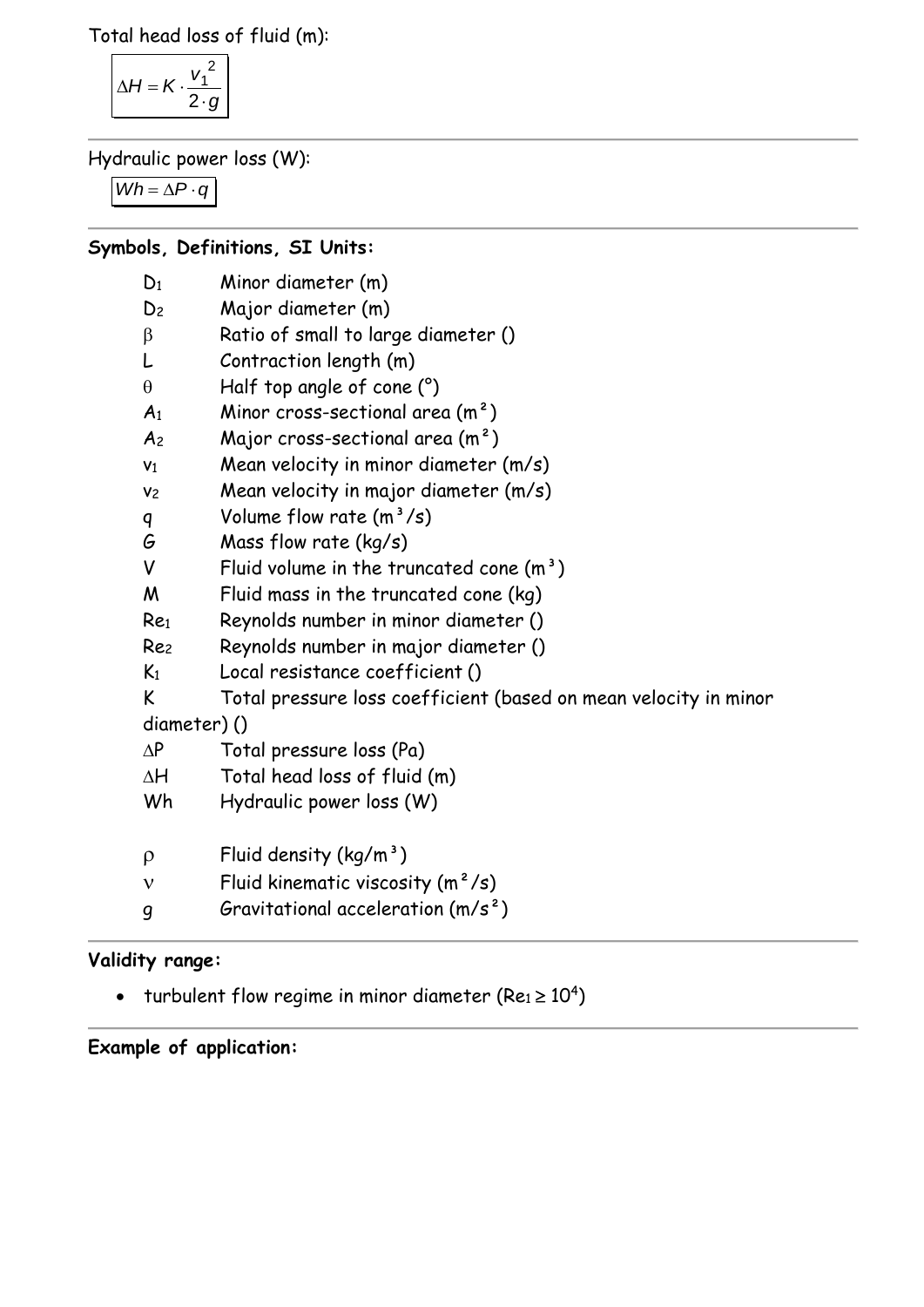Total head loss of fluid (m):

$$
\Delta H = K \cdot \frac{v_1^2}{2 \cdot g}
$$

Hydraulic power loss (W):

*Wh* =  $\Delta P \cdot q$ 

### **Symbols, Definitions, SI Units:**

| $D_1$           | Minor diameter (m)                                               |
|-----------------|------------------------------------------------------------------|
| D <sub>2</sub>  | Major diameter (m)                                               |
| β               | Ratio of small to large diameter ()                              |
| L               | Contraction length (m)                                           |
| $\theta$        | Half top angle of cone $(^\circ)$                                |
| A <sub>1</sub>  | Minor cross-sectional area $(m^2)$                               |
| A <sub>2</sub>  | Major cross-sectional area $(m2)$                                |
| V <sub>1</sub>  | Mean velocity in minor diameter (m/s)                            |
| V <sub>2</sub>  | Mean velocity in major diameter (m/s)                            |
| q               | Volume flow rate $(m^3/s)$                                       |
| G               | Mass flow rate $(kg/s)$                                          |
| V               | Fluid volume in the truncated cone $(m^3)$                       |
| M               | Fluid mass in the truncated cone (kg)                            |
| Re <sub>1</sub> | Reynolds number in minor diameter ()                             |
| Rez             | Reynolds number in major diameter ()                             |
| $K_1$           | Local resistance coefficient ()                                  |
| K               | Total pressure loss coefficient (based on mean velocity in minor |
| diameter)()     |                                                                  |
| $\Delta P$      | Total pressure loss (Pa)                                         |
| ΔΗ              | Total head loss of fluid (m)                                     |
| Wh              | Hydraulic power loss (W)                                         |
| $\rho$          | Fluid density ( $\text{kg/m}^3$ )                                |

- $v$  Fluid kinematic viscosity  $(m^2/s)$
- g Gravitational acceleration (m/s²)

## **Validity range:**

- turbulent flow regime in minor diameter (Re $_1$   $\geq$   $10^4)$ 

# **Example of application:**